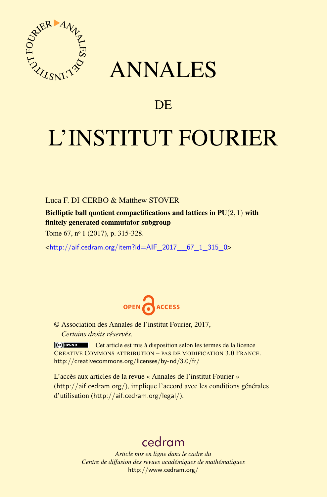

## ANNALES

### **DE**

# L'INSTITUT FOURIER

#### Luca F. DI CERBO & Matthew STOVER

Bielliptic ball quotient compactifications and lattices in PU(2*,* 1) with finitely generated commutator subgroup

Tome 67, nº 1 (2017), p. 315-328.

<[http://aif.cedram.org/item?id=AIF\\_2017\\_\\_67\\_1\\_315\\_0](http://aif.cedram.org/item?id=AIF_2017__67_1_315_0)>



© Association des Annales de l'institut Fourier, 2017, *Certains droits réservés.*

Cet article est mis à disposition selon les termes de la licence CREATIVE COMMONS ATTRIBUTION – PAS DE MODIFICATION 3.0 FRANCE. <http://creativecommons.org/licenses/by-nd/3.0/fr/>

L'accès aux articles de la revue « Annales de l'institut Fourier » (<http://aif.cedram.org/>), implique l'accord avec les conditions générales d'utilisation (<http://aif.cedram.org/legal/>).

## [cedram](http://www.cedram.org/)

*Article mis en ligne dans le cadre du Centre de diffusion des revues académiques de mathématiques* <http://www.cedram.org/>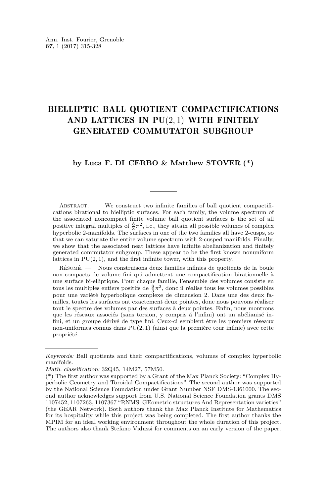#### BIELLIPTIC BALL QUOTIENT COMPACTIFICATIONS AND LATTICES IN PU(2*,* 1) WITH FINITELY GENERATED COMMUTATOR SUBGROUP

#### **by Luca F. DI CERBO & Matthew STOVER (\*)**

ABSTRACT.  $\qquad$  We construct two infinite families of ball quotient compactifications birational to bielliptic surfaces. For each family, the volume spectrum of the associated noncompact finite volume ball quotient surfaces is the set of all positive integral multiples of  $\frac{8}{3}\pi^2$ , i.e., they attain all possible volumes of complex by positive meeting manifolds. The surfaces in one of the two families all have 2-cusps, so hyperbolic 2-manifolds. The surfaces in one of the two families all have 2-cusps, so that we can saturate the entire volume spectrum with 2-cusped manifolds. Finally, we show that the associated neat lattices have infinite abelianization and finitely generated commutator subgroup. These appear to be the first known nonuniform lattices in PU(2*,* 1), and the first infinite tower, with this property.

Résumé. — Nous construisons deux familles infinies de quotients de la boule non-compacts de volume fini qui admettent une compactification birationnelle à une surface bi-elliptique. Pour chaque famille, l'ensemble des volumes consiste en tous les multiples entiers positifs de  $\frac{8}{3}\pi^2$ , donc il réalise tous les volumes possibles pour une variété hyperbolique complexe de dimension 2. Dans une des deux familles, toutes les surfaces ont exactement deux pointes, donc nous pouvons réaliser tout le spectre des volumes par des surfaces à deux pointes. Enfin, nous montrons que les réseaux associés (sans torsion, y compris á l'infini) ont un abélianisé infini, et un groupe dérivé de type fini. Ceux-ci semblent être les premiers réseaux non-uniformes connus dans PU(2*,* 1) (ainsi que la première tour infinie) avec cette propriété.

Keywords: Ball quotients and their compactifications, volumes of complex hyperbolic manifolds.

Math. classification: 32Q45, 14M27, 57M50.

<sup>(\*)</sup> The first author was supported by a Grant of the Max Planck Society: "Complex Hyperbolic Geometry and Toroidal Compactifications". The second author was supported by the National Science Foundation under Grant Number NSF DMS-1361000. The second author acknowledges support from U.S. National Science Foundation grants DMS 1107452, 1107263, 1107367 "RNMS: GEometric structures And Representation varieties" (the GEAR Network). Both authors thank the Max Planck Institute for Mathematics for its hospitality while this project was being completed. The first author thanks the MPIM for an ideal working environment throughout the whole duration of this project. The authors also thank Stefano Vidussi for comments on an early version of the paper.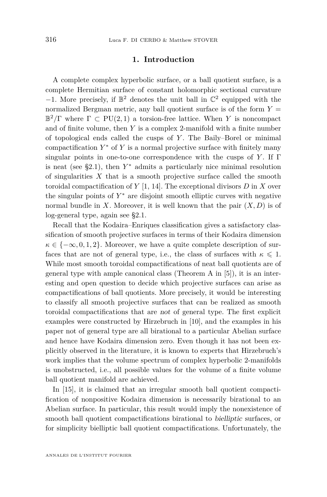#### **1. Introduction**

A complete complex hyperbolic surface, or a ball quotient surface, is a complete Hermitian surface of constant holomorphic sectional curvature  $-1$ . More precisely, if  $\mathbb{B}^2$  denotes the unit ball in  $\mathbb{C}^2$  equipped with the normalized Bergman metric, any ball quotient surface is of the form  $Y =$  $\mathbb{B}^2/\Gamma$  where  $\Gamma \subset \text{PU}(2,1)$  a torsion-free lattice. When *Y* is noncompact and of finite volume, then *Y* is a complex 2-manifold with a finite number of topological ends called the cusps of *Y* . The Baily–Borel or minimal compactification *Y* <sup>∗</sup> of *Y* is a normal projective surface with finitely many singular points in one-to-one correspondence with the cusps of  $Y$ . If  $\Gamma$ is neat (see [§2.1\)](#page-5-0), then *Y* <sup>∗</sup> admits a particularly nice minimal resolution of singularities *X* that is a smooth projective surface called the smooth toroidal compactification of *Y* [\[1,](#page-13-0) [14\]](#page-14-0). The exceptional divisors *D* in *X* over the singular points of *Y* <sup>∗</sup> are disjoint smooth elliptic curves with negative normal bundle in *X*. Moreover, it is well known that the pair  $(X, D)$  is of log-general type, again see [§2.1.](#page-5-0)

Recall that the Kodaira–Enriques classification gives a satisfactory classification of smooth projective surfaces in terms of their Kodaira dimension  $\kappa \in \{-\infty, 0, 1, 2\}$ . Moreover, we have a quite complete description of surfaces that are not of general type, i.e., the class of surfaces with  $\kappa \leq 1$ . While most smooth toroidal compactifications of neat ball quotients are of general type with ample canonical class (Theorem A in [\[5\]](#page-13-1)), it is an interesting and open question to decide which projective surfaces can arise as compactifications of ball quotients. More precisely, it would be interesting to classify all smooth projective surfaces that can be realized as smooth toroidal compactifications that are not of general type. The first explicit examples were constructed by Hirzebruch in [\[10\]](#page-13-2), and the examples in his paper not of general type are all birational to a particular Abelian surface and hence have Kodaira dimension zero. Even though it has not been explicitly observed in the literature, it is known to experts that Hirzebruch's work implies that the volume spectrum of complex hyperbolic 2-manifolds is unobstructed, i.e., all possible values for the volume of a finite volume ball quotient manifold are achieved.

In [\[15\]](#page-14-1), it is claimed that an irregular smooth ball quotient compactification of nonpositive Kodaira dimension is necessarily birational to an Abelian surface. In particular, this result would imply the nonexistence of smooth ball quotient compactifications birational to bielliptic surfaces, or for simplicity bielliptic ball quotient compactifications. Unfortunately, the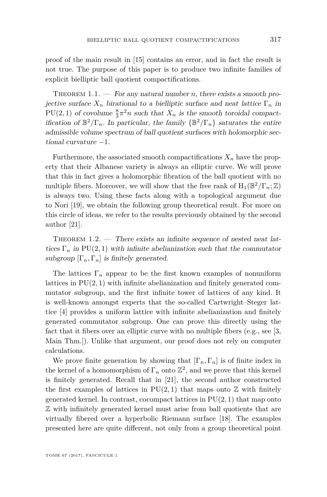proof of the main result in [\[15\]](#page-14-1) contains an error, and in fact the result is not true. The purpose of this paper is to produce two infinite families of explicit bielliptic ball quotient compactifications.

<span id="page-3-0"></span>THEOREM  $1.1.$  — For any natural number *n*, there exists a smooth projective surface  $X_n$  birational to a bielliptic surface and neat lattice  $\Gamma_n$  in PU(2, 1) of covolume  $\frac{8}{3}\pi^2 n$  such that  $X_n$  is the smooth toroidal compactification of  $\mathbb{B}^2/\Gamma_n$ . In particular, the family  $\{\mathbb{B}^2/\Gamma_n\}$  saturates the entire admissible volume spectrum of ball quotient surfaces with holomorphic sectional curvature  $-1$ .

Furthermore, the associated smooth compactifications  $X_n$  have the property that their Albanese variety is always an elliptic curve. We will prove that this in fact gives a holomorphic fibration of the ball quotient with no multiple fibers. Moreover, we will show that the free rank of  $H_1(\mathbb{B}^2/\Gamma_n;\mathbb{Z})$ is always two. Using these facts along with a topological argument due to Nori [\[19\]](#page-14-2), we obtain the following group theoretical result. For more on this circle of ideas, we refer to the results previously obtained by the second author [\[21\]](#page-14-3).

<span id="page-3-1"></span>THEOREM  $1.2.$  — There exists an infinite sequence of nested neat lattices  $\Gamma_n$  in PU(2, 1) with infinite abelianization such that the commutator subgroup  $[\Gamma_n, \Gamma_n]$  is finitely generated.

The lattices  $\Gamma_n$  appear to be the first known examples of nonuniform lattices in PU(2*,* 1) with infinite abelianization and finitely generated commutator subgroup, and the first infinite tower of lattices of any kind. It is well-known amongst experts that the so-called Cartwright–Steger lattice [\[4\]](#page-13-3) provides a uniform lattice with infinite abelianization and finitely generated commutator subgroup. One can prove this directly using the fact that it fibers over an elliptic curve with no multiple fibers (e.g., see [\[3,](#page-13-4) Main Thm.]). Unlike that argument, our proof does not rely on computer calculations.

We prove finite generation by showing that  $[\Gamma_n, \Gamma_n]$  is of finite index in the kernel of a homomorphism of  $\Gamma_n$  onto  $\mathbb{Z}^2$ , and we prove that this kernel is finitely generated. Recall that in [\[21\]](#page-14-3), the second author constructed the first examples of lattices in  $PU(2, 1)$  that maps onto  $\mathbb Z$  with finitely generated kernel. In contrast, cocompact lattices in PU(2*,* 1) that map onto Z with infinitely generated kernel must arise from ball quotients that are virtually fibered over a hyperbolic Riemann surface [\[18\]](#page-14-4). The examples presented here are quite different, not only from a group theoretical point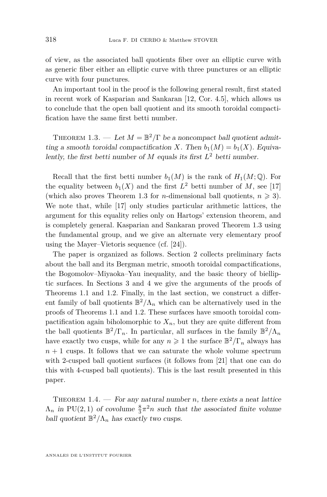of view, as the associated ball quotients fiber over an elliptic curve with as generic fiber either an elliptic curve with three punctures or an elliptic curve with four punctures.

An important tool in the proof is the following general result, first stated in recent work of Kasparian and Sankaran [\[12,](#page-13-5) Cor. 4.5], which allows us to conclude that the open ball quotient and its smooth toroidal compactification have the same first betti number.

<span id="page-4-0"></span>THEOREM 1.3. — Let  $M = \mathbb{B}^2/\Gamma$  be a noncompact ball quotient admitting a smooth toroidal compactification *X*. Then  $b_1(M) = b_1(X)$ . Equivalently, the first betti number of  $M$  equals its first  $L^2$  betti number.

Recall that the first betti number  $b_1(M)$  is the rank of  $H_1(M; \mathbb{Q})$ . For the equality between  $b_1(X)$  and the first  $L^2$  betti number of M, see [\[17\]](#page-14-5) (which also proves Theorem [1.3](#page-4-0) for *n*-dimensional ball quotients,  $n \geq 3$ ). We note that, while [\[17\]](#page-14-5) only studies particular arithmetic lattices, the argument for this equality relies only on Hartogs' extension theorem, and is completely general. Kasparian and Sankaran proved Theorem [1.3](#page-4-0) using the fundamental group, and we give an alternate very elementary proof using the Mayer–Vietoris sequence (cf. [\[24\]](#page-14-6)).

The paper is organized as follows. Section [2](#page-5-1) collects preliminary facts about the ball and its Bergman metric, smooth toroidal compactifications, the Bogomolov–Miyaoka–Yau inequality, and the basic theory of bielliptic surfaces. In Sections [3](#page-7-0) and [4](#page-9-0) we give the arguments of the proofs of Theorems [1.1](#page-3-0) and [1.2.](#page-3-1) Finally, in the last section, we construct a different family of ball quotients  $\mathbb{B}^2/\Lambda_n$  which can be alternatively used in the proofs of Theorems [1.1](#page-3-0) and [1.2.](#page-3-1) These surfaces have smooth toroidal compactification again biholomorphic to  $X_n$ , but they are quite different from the ball quotients  $\mathbb{B}^2/\Gamma_n$ . In particular, all surfaces in the family  $\mathbb{B}^2/\Lambda_n$ have exactly two cusps, while for any  $n \geq 1$  the surface  $\mathbb{B}^2/\Gamma_n$  always has  $n + 1$  cusps. It follows that we can saturate the whole volume spectrum with 2-cusped ball quotient surfaces (it follows from [\[21\]](#page-14-3) that one can do this with 4-cusped ball quotients). This is the last result presented in this paper.

<span id="page-4-1"></span>THEOREM 1.4. — For any natural number  $n$ , there exists a neat lattice  $\Lambda_n$  in PU(2, 1) of covolume  $\frac{8}{3}\pi^2 n$  such that the associated finite volume ball quotient  $\mathbb{B}^2/\Lambda_n$  has exactly two cusps.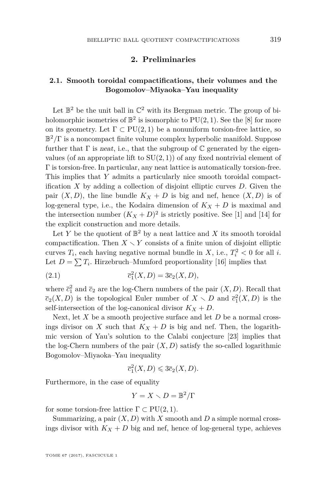#### **2. Preliminaries**

#### <span id="page-5-1"></span><span id="page-5-0"></span>**2.1. Smooth toroidal compactifications, their volumes and the Bogomolov–Miyaoka–Yau inequality**

Let  $\mathbb{B}^2$  be the unit ball in  $\mathbb{C}^2$  with its Bergman metric. The group of biholomorphic isometries of  $\mathbb{B}^2$  is isomorphic to  $PU(2, 1)$ . See the [\[8\]](#page-13-6) for more on its geometry. Let  $\Gamma \subset \text{PU}(2,1)$  be a nonuniform torsion-free lattice, so B <sup>2</sup>*/*Γ is a noncompact finite volume complex hyperbolic manifold. Suppose further that  $\Gamma$  is neat, i.e., that the subgroup of  $\mathbb C$  generated by the eigenvalues (of an appropriate lift to  $SU(2,1)$ ) of any fixed nontrivial element of Γ is torsion-free. In particular, any neat lattice is automatically torsion-free. This implies that *Y* admits a particularly nice smooth toroidal compactification *X* by adding a collection of disjoint elliptic curves *D*. Given the pair  $(X, D)$ , the line bundle  $K_X + D$  is big and nef, hence  $(X, D)$  is of log-general type, i.e., the Kodaira dimension of  $K_X + D$  is maximal and the intersection number  $(K_X + D)^2$  is strictly positive. See [\[1\]](#page-13-0) and [\[14\]](#page-14-0) for the explicit construction and more details.

Let *Y* be the quotient of  $\mathbb{B}^2$  by a neat lattice and *X* its smooth toroidal compactification. Then  $X \setminus Y$  consists of a finite union of disjoint elliptic curves  $T_i$ , each having negative normal bundle in  $X$ , i.e.,  $T_i^2 < 0$  for all *i*. Let  $D = \sum T_i$ . Hirzebruch–Mumford proportionality [\[16\]](#page-14-7) implies that

(2.1) 
$$
\overline{c}_1^2(X, D) = 3\overline{c}_2(X, D),
$$

where  $\bar{c}_1^2$  and  $\bar{c}_2$  are the log-Chern numbers of the pair  $(X, D)$ . Recall that  $\overline{c}_2(X, D)$  is the topological Euler number of  $X \setminus D$  and  $\overline{c}_1^2(X, D)$  is the self-intersection of the log-canonical divisor  $K_X + D$ .

Next, let *X* be a smooth projective surface and let *D* be a normal crossings divisor on *X* such that  $K_X + D$  is big and nef. Then, the logarithmic version of Yau's solution to the Calabi conjecture [\[23\]](#page-14-8) implies that the log-Chern numbers of the pair  $(X, D)$  satisfy the so-called logarithmic Bogomolov–Miyaoka–Yau inequality

$$
\overline{c}_1^2(X, D) \leq 3\overline{c}_2(X, D).
$$

Furthermore, in the case of equality

$$
Y = X \smallsetminus D = \mathbb{B}^2 / \Gamma
$$

for some torsion-free lattice  $\Gamma \subset \text{PU}(2,1)$ .

Summarizing, a pair  $(X, D)$  with *X* smooth and *D* a simple normal crossings divisor with  $K_X + D$  big and nef, hence of log-general type, achieves

TOME 67 (2017), FASCICULE 1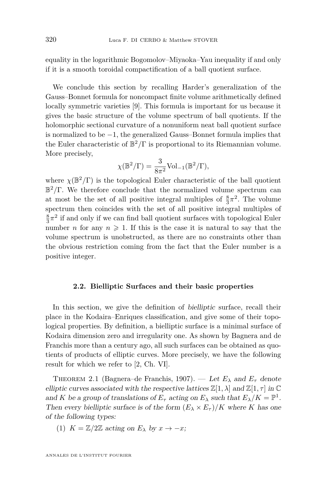equality in the logarithmic Bogomolov–Miyaoka–Yau inequality if and only if it is a smooth toroidal compactification of a ball quotient surface.

We conclude this section by recalling Harder's generalization of the Gauss–Bonnet formula for noncompact finite volume arithmetically defined locally symmetric varieties [\[9\]](#page-13-7). This formula is important for us because it gives the basic structure of the volume spectrum of ball quotients. If the holomorphic sectional curvature of a nonuniform neat ball quotient surface is normalized to be −1, the generalized Gauss–Bonnet formula implies that the Euler characteristic of  $\mathbb{B}^2/\Gamma$  is proportional to its Riemannian volume. More precisely,

$$
\chi(\mathbb B^2/\Gamma)=\frac{3}{8\pi^2}\text{Vol}_{-1}(\mathbb B^2/\Gamma),
$$

where  $\chi(\mathbb{B}^2/\Gamma)$  is the topological Euler characteristic of the ball quotient B <sup>2</sup>*/*Γ. We therefore conclude that the normalized volume spectrum can at most be the set of all positive integral multiples of  $\frac{8}{3}\pi^2$ . The volume spectrum then coincides with the set of all positive integral multiples of  $\frac{8}{3}\pi^2$  if and only if we can find ball quotient surfaces with topological Euler number *n* for any  $n \geq 1$ . If this is the case it is natural to say that the volume spectrum is unobstructed, as there are no constraints other than the obvious restriction coming from the fact that the Euler number is a positive integer.

#### **2.2. Bielliptic Surfaces and their basic properties**

In this section, we give the definition of bielliptic surface, recall their place in the Kodaira–Enriques classification, and give some of their topological properties. By definition, a bielliptic surface is a minimal surface of Kodaira dimension zero and irregularity one. As shown by Bagnera and de Franchis more than a century ago, all such surfaces can be obtained as quotients of products of elliptic curves. More precisely, we have the following result for which we refer to [\[2,](#page-13-8) Ch. VI].

<span id="page-6-0"></span>THEOREM 2.1 (Bagnera–de Franchis, 1907). — Let  $E_{\lambda}$  and  $E_{\tau}$  denote elliptic curves associated with the respective lattices  $\mathbb{Z}[1,\lambda]$  and  $\mathbb{Z}[1,\tau]$  in  $\mathbb C$ and *K* be a group of translations of  $E_{\tau}$  acting on  $E_{\lambda}$  such that  $E_{\lambda}/K = \mathbb{P}^1$ . Then every bielliptic surface is of the form  $(E_{\lambda} \times E_{\tau})/K$  where *K* has one of the following types:

(1)  $K = \mathbb{Z}/2\mathbb{Z}$  acting on  $E_{\lambda}$  by  $x \to -x$ ;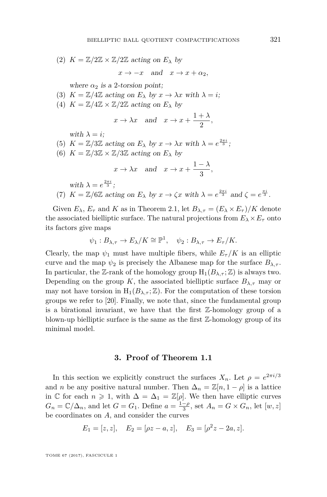(2)  $K = \mathbb{Z}/2\mathbb{Z} \times \mathbb{Z}/2\mathbb{Z}$  acting on  $E_{\lambda}$  by

$$
x \to -x \quad \text{and} \quad x \to x + \alpha_2,
$$

where  $\alpha_2$  is a 2-torsion point;

- (3)  $K = \mathbb{Z}/4\mathbb{Z}$  acting on  $E_{\lambda}$  by  $x \to \lambda x$  with  $\lambda = i$ ;
- (4)  $K = \mathbb{Z}/4\mathbb{Z} \times \mathbb{Z}/2\mathbb{Z}$  acting on  $E_{\lambda}$  by

$$
x \to \lambda x
$$
 and  $x \to x + \frac{1+\lambda}{2}$ ,

with  $\lambda = i$ ;

- (5)  $K = \mathbb{Z}/3\mathbb{Z}$  acting on  $E_{\lambda}$  by  $x \to \lambda x$  with  $\lambda = e^{\frac{2\pi i}{3}}$ ;
- (6)  $K = \mathbb{Z}/3\mathbb{Z} \times \mathbb{Z}/3\mathbb{Z}$  acting on  $E_{\lambda}$  by

$$
x \to \lambda x
$$
 and  $x \to x + \frac{1-\lambda}{3}$ ,

with  $\lambda = e^{\frac{2\pi i}{3}}$ ;

(7) 
$$
K = \mathbb{Z}/6\mathbb{Z}
$$
 acting on  $E_{\lambda}$  by  $x \to \zeta x$  with  $\lambda = e^{\frac{2\pi i}{3}}$  and  $\zeta = e^{\frac{\pi i}{3}}$ .

Given  $E_{\lambda}$ ,  $E_{\tau}$  and K as in Theorem [2.1,](#page-6-0) let  $B_{\lambda,\tau} = (E_{\lambda} \times E_{\tau})/K$  denote the associated bielliptic surface. The natural projections from  $E_\lambda \times E_\tau$  onto its factors give maps

$$
\psi_1: B_{\lambda, \tau} \to E_{\lambda}/K \cong \mathbb{P}^1, \quad \psi_2: B_{\lambda, \tau} \to E_{\tau}/K.
$$

Clearly, the map  $\psi_1$  must have multiple fibers, while  $E_\tau/K$  is an elliptic curve and the map  $\psi_2$  is precisely the Albanese map for the surface  $B_{\lambda,\tau}$ . In particular, the Z-rank of the homology group  $H_1(B_{\lambda,\tau};\mathbb{Z})$  is always two. Depending on the group *K*, the associated bielliptic surface  $B_{\lambda,\tau}$  may or may not have torsion in  $H_1(B_{\lambda,\tau};\mathbb{Z})$ . For the computation of these torsion groups we refer to [\[20\]](#page-14-9). Finally, we note that, since the fundamental group is a birational invariant, we have that the first Z-homology group of a blown-up bielliptic surface is the same as the first  $\mathbb{Z}$ -homology group of its minimal model.

#### **3. Proof of Theorem [1.1](#page-3-0)**

<span id="page-7-0"></span>In this section we explicitly construct the surfaces  $X_n$ . Let  $\rho = e^{2\pi i/3}$ and *n* be any positive natural number. Then  $\Delta_n = \mathbb{Z}[n, 1-\rho]$  is a lattice in C for each  $n \geq 1$ , with  $\Delta = \Delta_1 = \mathbb{Z}[\rho]$ . We then have elliptic curves  $G_n = \mathbb{C}/\Delta_n$ , and let  $G = G_1$ . Define  $a = \frac{1-\rho}{3}$ , set  $A_n = G \times G_n$ , let  $[w, z]$ be coordinates on *A*, and consider the curves

$$
E_1 = [z, z], \quad E_2 = [\rho z - a, z], \quad E_3 = [\rho^2 z - 2a, z].
$$

TOME 67 (2017), FASCICULE 1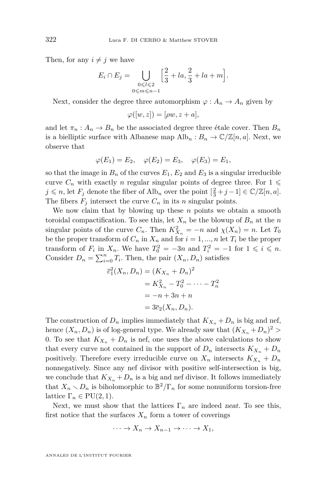Then, for any  $i \neq j$  we have

$$
E_i \cap E_j = \bigcup_{\substack{0 \le l \le 2 \\ 0 \le m \le n-1}} \left[ \frac{2}{3} + la, \frac{2}{3} + la + m \right].
$$

Next, consider the degree three automorphism  $\varphi: A_n \to A_n$  given by

$$
\varphi([w,z]) = [\rho w, z + a],
$$

and let  $\pi_n : A_n \to B_n$  be the associated degree three étale cover. Then  $B_n$ is a bielliptic surface with Albanese map  $\text{Alb}_n : B_n \to \mathbb{C}/\mathbb{Z}[n, a]$ . Next, we observe that

$$
\varphi(E_1) = E_2, \quad \varphi(E_2) = E_3, \quad \varphi(E_3) = E_1,
$$

so that the image in  $B_n$  of the curves  $E_1, E_2$  and  $E_3$  is a singular irreducible curve  $C_n$  with exactly *n* regular singular points of degree three. For  $1 \leq$ *j* ≤ *n*, let *F<sub>j</sub>* denote the fiber of Alb<sub>*n*</sub> over the point  $\left[\frac{2}{3} + j - 1\right] \in \mathbb{C}/\mathbb{Z}[n, a]$ . The fibers  $F_j$  intersect the curve  $C_n$  in its *n* singular points.

We now claim that by blowing up these *n* points we obtain a smooth toroidal compactification. To see this, let  $X_n$  be the blowup of  $B_n$  at the *n* singular points of the curve  $C_n$ . Then  $K_{X_n}^2 = -n$  and  $\chi(X_n) = n$ . Let  $T_0$ be the proper transform of  $C_n$  in  $X_n$  and for  $i = 1, ..., n$  let  $T_i$  be the proper transform of  $F_i$  in  $X_n$ . We have  $T_0^2 = -3n$  and  $T_i^2 = -1$  for  $1 \leq i \leq n$ . Consider  $D_n = \sum_{i=0}^n T_i$ . Then, the pair  $(X_n, D_n)$  satisfies

$$
\overline{c}_1^2(X_n, D_n) = (K_{X_n} + D_n)^2
$$

$$
= K_{X_n}^2 - T_0^2 - \dots - T_n^2
$$

$$
= -n + 3n + n
$$

$$
= 3\overline{c}_2(X_n, D_n).
$$

The construction of  $D_n$  implies immediately that  $K_{X_n} + D_n$  is big and nef, hence  $(X_n, D_n)$  is of log-general type. We already saw that  $(K_{X_n} + D_n)^2$ 0. To see that  $K_{X_n} + D_n$  is nef, one uses the above calculations to show that every curve not contained in the support of  $D_n$  intersects  $K_{X_n} + D_n$ positively. Therefore every irreducible curve on  $X_n$  intersects  $K_{X_n} + D_n$ nonnegatively. Since any nef divisor with positive self-intersection is big, we conclude that  $K_{X_n} + D_n$  is a big and nef divisor. It follows immediately that  $X_n \setminus D_n$  is biholomorphic to  $\mathbb{B}^2/\Gamma_n$  for some nonuniform torsion-free lattice  $\Gamma_n \in \text{PU}(2,1)$ .

Next, we must show that the lattices  $\Gamma_n$  are indeed neat. To see this, first notice that the surfaces  $X_n$  form a tower of coverings

$$
\cdots \to X_n \to X_{n-1} \to \cdots \to X_1,
$$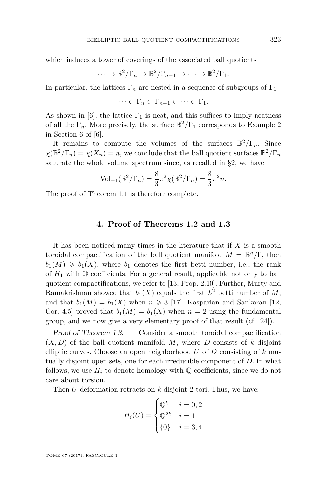which induces a tower of coverings of the associated ball quotients

$$
\cdots \to \mathbb{B}^2/\Gamma_n \to \mathbb{B}^2/\Gamma_{n-1} \to \cdots \to \mathbb{B}^2/\Gamma_1.
$$

In particular, the lattices  $\Gamma_n$  are nested in a sequence of subgroups of  $\Gamma_1$ 

$$
\cdots \subset \Gamma_n \subset \Gamma_{n-1} \subset \cdots \subset \Gamma_1.
$$

As shown in [\[6\]](#page-13-9), the lattice  $\Gamma_1$  is neat, and this suffices to imply neatness of all the  $\Gamma_n$ . More precisely, the surface  $\mathbb{B}^2/\Gamma_1$  corresponds to Example 2 in Section 6 of [\[6\]](#page-13-9).

It remains to compute the volumes of the surfaces  $\mathbb{B}^2/\Gamma_n$ . Since  $\chi(\mathbb{B}^2/\Gamma_n) = \chi(X_n) = n$ , we conclude that the ball quotient surfaces  $\mathbb{B}^2/\Gamma_n$ saturate the whole volume spectrum since, as recalled in [§2,](#page-5-1) we have

$$
Vol_{-1}(\mathbb{B}^2/\Gamma_n) = \frac{8}{3}\pi^2 \chi(\mathbb{B}^2/\Gamma_n) = \frac{8}{3}\pi^2 n.
$$

The proof of Theorem [1.1](#page-3-0) is therefore complete.

#### **4. Proof of Theorems [1.2](#page-3-1) and [1.3](#page-4-0)**

<span id="page-9-0"></span>It has been noticed many times in the literature that if *X* is a smooth toroidal compactification of the ball quotient manifold  $M = \mathbb{B}^n/\Gamma$ , then  $b_1(M) \geq b_1(X)$ , where  $b_1$  denotes the first betti number, i.e., the rank of  $H_1$  with  $\mathbb Q$  coefficients. For a general result, applicable not only to ball quotient compactifications, we refer to [\[13,](#page-13-10) Prop. 2.10]. Further, Murty and Ramakrishnan showed that  $b_1(X)$  equals the first  $L^2$  betti number of  $M$ , and that  $b_1(M) = b_1(X)$  when  $n \geq 3$  [\[17\]](#page-14-5). Kasparian and Sankaran [\[12,](#page-13-5) Cor. 4.5] proved that  $b_1(M) = b_1(X)$  when  $n = 2$  using the fundamental group, and we now give a very elementary proof of that result (cf. [\[24\]](#page-14-6)).

Proof of Theorem [1.3.](#page-4-0) — Consider a smooth toroidal compactification  $(X, D)$  of the ball quotient manifold M, where D consists of k disjoint elliptic curves. Choose an open neighborhood *U* of *D* consisting of *k* mutually disjoint open sets, one for each irreducible component of *D*. In what follows, we use  $H_i$  to denote homology with  $\mathbb Q$  coefficients, since we do not care about torsion.

Then *U* deformation retracts on *k* disjoint 2-tori. Thus, we have:

$$
H_i(U) = \begin{cases} \mathbb{Q}^k & i = 0, 2 \\ \mathbb{Q}^{2k} & i = 1 \\ \{0\} & i = 3, 4 \end{cases}
$$

TOME 67 (2017), FASCICULE 1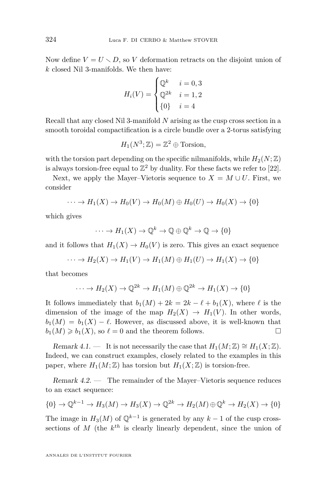Now define  $V = U \setminus D$ , so V deformation retracts on the disjoint union of *k* closed Nil 3-manifolds. We then have:

$$
H_i(V) = \begin{cases} \mathbb{Q}^k & i = 0, 3\\ \mathbb{Q}^{2k} & i = 1, 2\\ \{0\} & i = 4 \end{cases}
$$

Recall that any closed Nil 3-manifold *N* arising as the cusp cross section in a smooth toroidal compactification is a circle bundle over a 2-torus satisfying

$$
H_1(N^3; \mathbb{Z}) = \mathbb{Z}^2 \oplus \text{Torsion},
$$

with the torsion part depending on the specific nilmanifolds, while  $H_2(N;\mathbb{Z})$ is always torsion-free equal to  $\mathbb{Z}^2$  by duality. For these facts we refer to [\[22\]](#page-14-10).

Next, we apply the Mayer–Vietoris sequence to  $X = M \cup U$ . First, we consider

$$
\cdots \to H_1(X) \to H_0(V) \to H_0(M) \oplus H_0(U) \to H_0(X) \to \{0\}
$$

which gives

$$
\cdots \to H_1(X) \to \mathbb{Q}^k \to \mathbb{Q} \oplus \mathbb{Q}^k \to \mathbb{Q} \to \{0\}
$$

and it follows that  $H_1(X) \to H_0(V)$  is zero. This gives an exact sequence

$$
\cdots \to H_2(X) \to H_1(V) \to H_1(M) \oplus H_1(U) \to H_1(X) \to \{0\}
$$

that becomes

$$
\cdots \to H_2(X) \to \mathbb{Q}^{2k} \to H_1(M) \oplus \mathbb{Q}^{2k} \to H_1(X) \to \{0\}
$$

It follows immediately that  $b_1(M) + 2k = 2k - \ell + b_1(X)$ , where  $\ell$  is the dimension of the image of the map  $H_2(X) \to H_1(V)$ . In other words,  $b_1(M) = b_1(X) - \ell$ . However, as discussed above, it is well-known that  $b_1(M) \geq b_1(X)$ , so  $\ell = 0$  and the theorem follows.

Remark 4.1. — It is not necessarily the case that  $H_1(M; \mathbb{Z}) \cong H_1(X; \mathbb{Z})$ . Indeed, we can construct examples, closely related to the examples in this paper, where  $H_1(M; \mathbb{Z})$  has torsion but  $H_1(X; \mathbb{Z})$  is torsion-free.

Remark 4.2. — The remainder of the Mayer–Vietoris sequence reduces to an exact sequence:

$$
\{0\} \to \mathbb{Q}^{k-1} \to H_3(M) \to H_3(X) \to \mathbb{Q}^{2k} \to H_2(M) \oplus \mathbb{Q}^k \to H_2(X) \to \{0\}
$$

The image in  $H_3(M)$  of  $\mathbb{Q}^{k-1}$  is generated by any  $k-1$  of the cusp crosssections of *M* (the *k th* is clearly linearly dependent, since the union of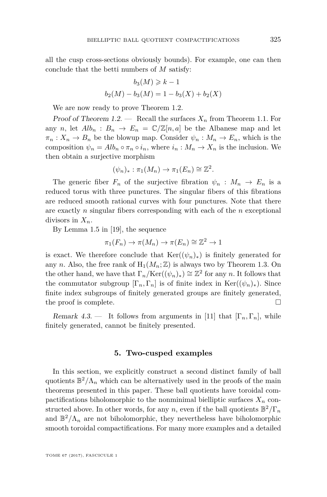all the cusp cross-sections obviously bounds). For example, one can then conclude that the betti numbers of *M* satisfy:

$$
b_3(M) \ge k - 1
$$
  

$$
b_2(M) - b_3(M) = 1 - b_3(X) + b_2(X)
$$

We are now ready to prove Theorem [1.2.](#page-3-1)

Proof of Theorem [1.2.](#page-3-1) — Recall the surfaces  $X_n$  from Theorem [1.1.](#page-3-0) For any *n*, let  $Alb_n$ :  $B_n \to E_n = \mathbb{C}/\mathbb{Z}[n, a]$  be the Albanese map and let  $\pi_n: X_n \to B_n$  be the blowup map. Consider  $\psi_n: M_n \to E_n$ , which is the composition  $\psi_n = Alb_n \circ \pi_n \circ i_n$ , where  $i_n : M_n \to X_n$  is the inclusion. We then obtain a surjective morphism

$$
(\psi_n)_*: \pi_1(M_n) \to \pi_1(E_n) \cong \mathbb{Z}^2.
$$

The generic fiber  $F_n$  of the surjective fibration  $\psi_n : M_n \to E_n$  is a reduced torus with three punctures. The singular fibers of this fibrations are reduced smooth rational curves with four punctures. Note that there are exactly *n* singular fibers corresponding with each of the *n* exceptional divisors in *Xn*.

By Lemma 1.5 in [\[19\]](#page-14-2), the sequence

$$
\pi_1(F_n) \to \pi(M_n) \to \pi(E_n) \cong \mathbb{Z}^2 \to 1
$$

is exact. We therefore conclude that  $\text{Ker}((\psi_n)_*)$  is finitely generated for any *n*. Also, the free rank of  $H_1(M_n; \mathbb{Z})$  is always two by Theorem [1.3.](#page-4-0) On the other hand, we have that  $\Gamma_n/\text{Ker}((\psi_n)_*) \cong \mathbb{Z}^2$  for any *n*. It follows that the commutator subgroup  $[\Gamma_n, \Gamma_n]$  is of finite index in Ker $((\psi_n)_*)$ . Since finite index subgroups of finitely generated groups are finitely generated, the proof is complete.

Remark 4.3. — It follows from arguments in [\[11\]](#page-13-11) that  $[\Gamma_n, \Gamma_n]$ , while finitely generated, cannot be finitely presented.

#### **5. Two-cusped examples**

In this section, we explicitly construct a second distinct family of ball quotients  $\mathbb{B}^2/\Lambda_n$  which can be alternatively used in the proofs of the main theorems presented in this paper. These ball quotients have toroidal compactifications biholomorphic to the nonminimal bielliptic surfaces  $X_n$  constructed above. In other words, for any  $n$ , even if the ball quotients  $\mathbb{B}^2/\Gamma_n$ and  $\mathbb{B}^2/\Lambda_n$  are not biholomorphic, they nevertheless have biholomorphic smooth toroidal compactifications. For many more examples and a detailed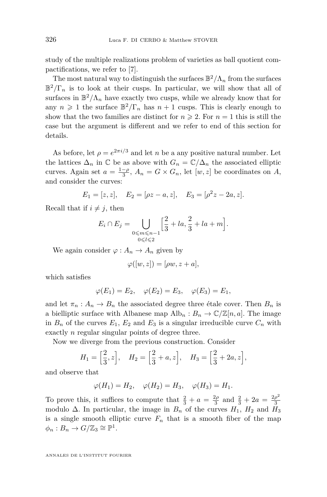study of the multiple realizations problem of varieties as ball quotient compactifications, we refer to [\[7\]](#page-13-12).

The most natural way to distinguish the surfaces  $\mathbb{B}^2/\Lambda_n$  from the surfaces  $\mathbb{B}^2/\Gamma_n$  is to look at their cusps. In particular, we will show that all of surfaces in  $\mathbb{B}^2/\Lambda_n$  have exactly two cusps, while we already know that for any  $n \geq 1$  the surface  $\mathbb{B}^2/\Gamma_n$  has  $n+1$  cusps. This is clearly enough to show that the two families are distinct for  $n \geq 2$ . For  $n = 1$  this is still the case but the argument is different and we refer to end of this section for details.

As before, let  $\rho = e^{2\pi i/3}$  and let *n* be a any positive natural number. Let the lattices  $\Delta_n$  in  $\mathbb C$  be as above with  $G_n = \mathbb C/\Delta_n$  the associated elliptic curves. Again set  $a = \frac{1-\rho}{3}$ ,  $A_n = G \times G_n$ , let  $[w, z]$  be coordinates on *A*, and consider the curves:

$$
E_1 = [z, z], \quad E_2 = [\rho z - a, z], \quad E_3 = [\rho^2 z - 2a, z].
$$

Recall that if  $i \neq j$ , then

$$
E_i \cap E_j = \bigcup_{\substack{0 \le m \le n-1 \\ 0 \le l \le 2}} \left[ \frac{2}{3} + la, \frac{2}{3} + la + m \right].
$$

We again consider  $\varphi : A_n \to A_n$  given by

$$
\varphi([w, z]) = [\rho w, z + a],
$$

which satisfies

$$
\varphi(E_1) = E_2, \quad \varphi(E_2) = E_3, \quad \varphi(E_3) = E_1,
$$

and let  $\pi_n : A_n \to B_n$  the associated degree three étale cover. Then  $B_n$  is a bielliptic surface with Albanese map  $\text{Alb}_n : B_n \to \mathbb{C}/\mathbb{Z}[n, a]$ . The image in  $B_n$  of the curves  $E_1, E_2$  and  $E_3$  is a singular irreducible curve  $C_n$  with exactly *n* regular singular points of degree three.

Now we diverge from the previous construction. Consider

$$
H_1 = \left[\frac{2}{3}, z\right], \quad H_2 = \left[\frac{2}{3} + a, z\right], \quad H_3 = \left[\frac{2}{3} + 2a, z\right],
$$

and observe that

$$
\varphi(H_1) = H_2, \quad \varphi(H_2) = H_3, \quad \varphi(H_3) = H_1.
$$

To prove this, it suffices to compute that  $\frac{2}{3} + a = \frac{2\rho}{3}$  and  $\frac{2}{3} + 2a = \frac{2\rho^2}{3}$ 3 modulo  $\Delta$ . In particular, the image in  $B_n$  of the curves  $H_1$ ,  $H_2$  and  $H_3$ is a single smooth elliptic curve  $F_n$  that is a smooth fiber of the map  $\phi_n : B_n \to G/\mathbb{Z}_3 \cong \mathbb{P}^1.$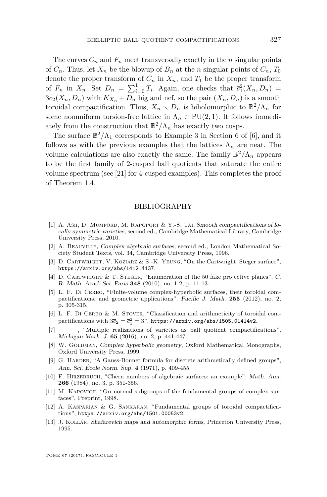The curves  $C_n$  and  $F_n$  meet transversally exactly in the *n* singular points of  $C_n$ . Thus, let  $X_n$  be the blowup of  $B_n$  at the *n* singular points of  $C_n$ ,  $T_0$ denote the proper transform of  $C_n$  in  $X_n$ , and  $T_1$  be the proper transform of  $F_n$  in  $X_n$ . Set  $D_n = \sum_{i=0}^1 T_i$ . Again, one checks that  $\bar{c}_1^2(X_n, D_n)$  $3\bar{c}_2(X_n, D_n)$  with  $K_{X_n} + D_n$  big and nef, so the pair  $(X_n, D_n)$  is a smooth toroidal compactification. Thus,  $X_n \setminus D_n$  is biholomorphic to  $\mathbb{B}^2/\Lambda_n$  for some nonuniform torsion-free lattice in  $\Lambda_n \in \text{PU}(2,1)$ . It follows immediately from the construction that  $\mathbb{B}^2/\Lambda_n$  has exactly two cusps.

The surface  $\mathbb{B}^2/\Lambda_1$  corresponds to Example 3 in Section 6 of [\[6\]](#page-13-9), and it follows as with the previous examples that the lattices  $\Lambda_n$  are neat. The volume calculations are also exactly the same. The family  $\mathbb{B}^2/\Lambda_n$  appears to be the first family of 2-cusped ball quotients that saturate the entire volume spectrum (see [\[21\]](#page-14-3) for 4-cusped examples). This completes the proof of Theorem [1.4.](#page-4-1)

#### BIBLIOGRAPHY

- <span id="page-13-0"></span>[1] A. Ash, D. Mumford, M. Rapoport & Y.-S. Tai, Smooth compactifications of locally symmetric varieties, second ed., Cambridge Mathematical Library, Cambridge University Press, 2010.
- <span id="page-13-8"></span>[2] A. Beauville, Complex algebraic surfaces, second ed., London Mathematical Society Student Texts, vol. 34, Cambridge University Press, 1996.
- <span id="page-13-4"></span>[3] D. CARTWRIGHT, V. KOZIARZ & S.-K. YEUNG, "On the Cartwright–Steger surface", <https://arxiv.org/abs/1412.4137>.
- <span id="page-13-3"></span>[4] D. Cartwright & T. Steger, "Enumeration of the 50 fake projective planes", C. R. Math. Acad. Sci. Paris **348** (2010), no. 1-2, p. 11-13.
- <span id="page-13-1"></span>[5] L. F. DI CERBO, "Finite-volume complex-hyperbolic surfaces, their toroidal compactifications, and geometric applications", Pacific J. Math. **255** (2012), no. 2, p. 305-315.
- <span id="page-13-9"></span>[6] L. F. DI CERBO & M. STOVER, "Classification and arithmeticity of toroidal compactifications with  $3\bar{c}_2 = \bar{c}_1^2 = 3$ ", <https://arxiv.org/abs/1505.01414v2>.
- <span id="page-13-12"></span>[7] ——— , "Multiple realizations of varieties as ball quotient compactifications", Michigan Math. J. **65** (2016), no. 2, p. 441-447.
- <span id="page-13-6"></span>[8] W. GOLDMAN, Complex hyperbolic geometry, Oxford Mathematical Monographs, Oxford University Press, 1999.
- <span id="page-13-7"></span>[9] G. HARDER, "A Gauss-Bonnet formula for discrete arithmetically defined groups", Ann. Sci. École Norm. Sup. **4** (1971), p. 409-455.
- <span id="page-13-2"></span>[10] F. HIRZEBRUCH, "Chern numbers of algebraic surfaces: an example", Math. Ann. **266** (1984), no. 3, p. 351-356.
- <span id="page-13-11"></span>[11] M. KAPOVICH, "On normal subgroups of the fundamental groups of complex surfaces", Preprint, 1998.
- <span id="page-13-5"></span>[12] A. Kasparian & G. Sankaran, "Fundamental groups of toroidal compactifications", <https://arxiv.org/abs/1501.00053v2>.
- <span id="page-13-10"></span>[13] J. Kollár, Shafarevich maps and automorphic forms, Princeton University Press, 1995.